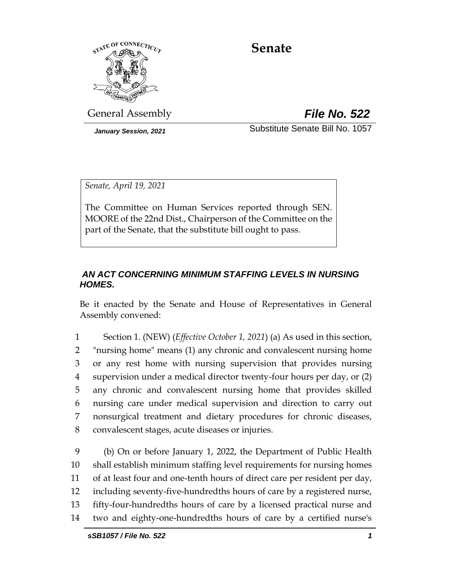

# **Senate**

General Assembly *File No. 522*

*January Session, 2021* Substitute Senate Bill No. 1057

*Senate, April 19, 2021*

The Committee on Human Services reported through SEN. MOORE of the 22nd Dist., Chairperson of the Committee on the part of the Senate, that the substitute bill ought to pass.

# *AN ACT CONCERNING MINIMUM STAFFING LEVELS IN NURSING HOMES.*

Be it enacted by the Senate and House of Representatives in General Assembly convened:

 Section 1. (NEW) (*Effective October 1, 2021*) (a) As used in this section, "nursing home" means (1) any chronic and convalescent nursing home or any rest home with nursing supervision that provides nursing supervision under a medical director twenty-four hours per day, or (2) any chronic and convalescent nursing home that provides skilled nursing care under medical supervision and direction to carry out nonsurgical treatment and dietary procedures for chronic diseases, convalescent stages, acute diseases or injuries.

 (b) On or before January 1, 2022, the Department of Public Health shall establish minimum staffing level requirements for nursing homes of at least four and one-tenth hours of direct care per resident per day, including seventy-five-hundredths hours of care by a registered nurse, fifty-four-hundredths hours of care by a licensed practical nurse and two and eighty-one-hundredths hours of care by a certified nurse's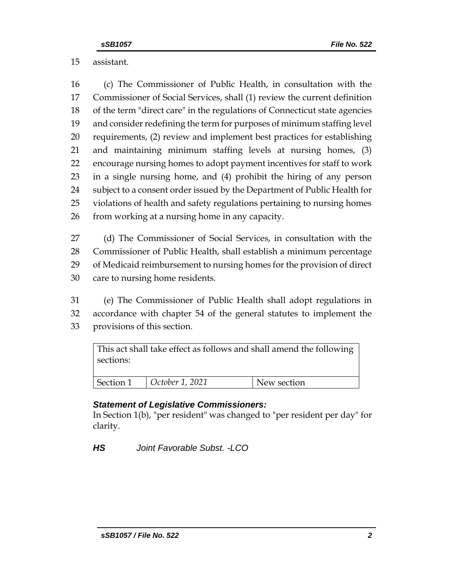# assistant.

 (c) The Commissioner of Public Health, in consultation with the Commissioner of Social Services, shall (1) review the current definition of the term "direct care" in the regulations of Connecticut state agencies and consider redefining the term for purposes of minimum staffing level requirements, (2) review and implement best practices for establishing and maintaining minimum staffing levels at nursing homes, (3) encourage nursing homes to adopt payment incentives for staff to work in a single nursing home, and (4) prohibit the hiring of any person 24 subject to a consent order issued by the Department of Public Health for violations of health and safety regulations pertaining to nursing homes from working at a nursing home in any capacity.

 (d) The Commissioner of Social Services, in consultation with the Commissioner of Public Health, shall establish a minimum percentage of Medicaid reimbursement to nursing homes for the provision of direct care to nursing home residents.

 (e) The Commissioner of Public Health shall adopt regulations in accordance with chapter 54 of the general statutes to implement the provisions of this section.

| sections: |                 | This act shall take effect as follows and shall amend the following |
|-----------|-----------------|---------------------------------------------------------------------|
| Section 1 | October 1, 2021 | New section                                                         |

## *Statement of Legislative Commissioners:*

In Section 1(b), "per resident" was changed to "per resident per day" for clarity.

*HS Joint Favorable Subst. -LCO*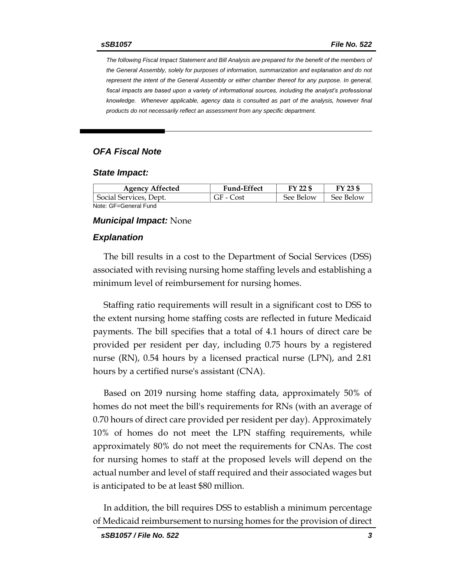*The following Fiscal Impact Statement and Bill Analysis are prepared for the benefit of the members of the General Assembly, solely for purposes of information, summarization and explanation and do not represent the intent of the General Assembly or either chamber thereof for any purpose. In general,*  fiscal impacts are based upon a variety of informational sources, including the analyst's professional *knowledge. Whenever applicable, agency data is consulted as part of the analysis, however final products do not necessarily reflect an assessment from any specific department.*

### *OFA Fiscal Note*

#### *State Impact:*

| <b>Agency Affected</b> | <b>Fund-Effect</b> | FY 22 \$  | FY 23 \$  |
|------------------------|--------------------|-----------|-----------|
| Social Services, Dept. | GF - Cost          | See Below | See Below |
| Note: GF=General Fund  |                    |           |           |

#### *Municipal Impact:* None

### *Explanation*

The bill results in a cost to the Department of Social Services (DSS) associated with revising nursing home staffing levels and establishing a minimum level of reimbursement for nursing homes.

Staffing ratio requirements will result in a significant cost to DSS to the extent nursing home staffing costs are reflected in future Medicaid payments. The bill specifies that a total of 4.1 hours of direct care be provided per resident per day, including 0.75 hours by a registered nurse (RN), 0.54 hours by a licensed practical nurse (LPN), and 2.81 hours by a certified nurse's assistant (CNA).

Based on 2019 nursing home staffing data, approximately 50% of homes do not meet the bill's requirements for RNs (with an average of 0.70 hours of direct care provided per resident per day). Approximately 10% of homes do not meet the LPN staffing requirements, while approximately 80% do not meet the requirements for CNAs. The cost for nursing homes to staff at the proposed levels will depend on the actual number and level of staff required and their associated wages but is anticipated to be at least \$80 million.

In addition, the bill requires DSS to establish a minimum percentage of Medicaid reimbursement to nursing homes for the provision of direct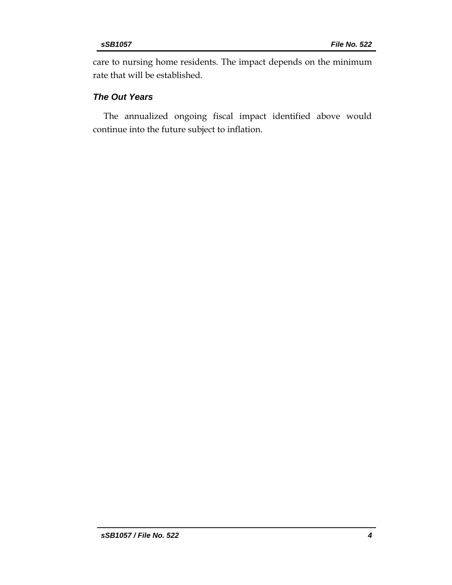care to nursing home residents. The impact depends on the minimum rate that will be established.

# *The Out Years*

The annualized ongoing fiscal impact identified above would continue into the future subject to inflation.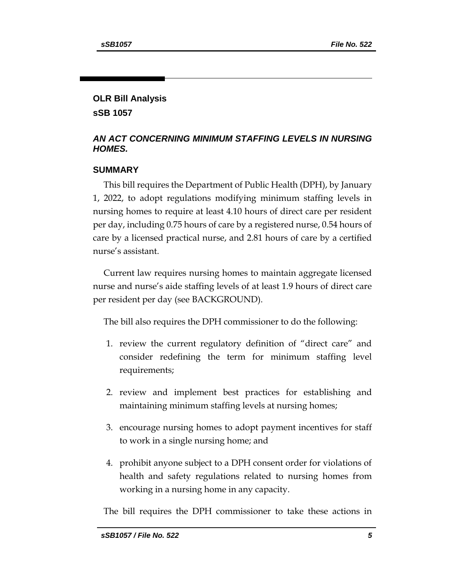# **OLR Bill Analysis**

**sSB 1057**

# *AN ACT CONCERNING MINIMUM STAFFING LEVELS IN NURSING HOMES.*

# **SUMMARY**

This bill requires the Department of Public Health (DPH), by January 1, 2022, to adopt regulations modifying minimum staffing levels in nursing homes to require at least 4.10 hours of direct care per resident per day, including 0.75 hours of care by a registered nurse, 0.54 hours of care by a licensed practical nurse, and 2.81 hours of care by a certified nurse's assistant.

Current law requires nursing homes to maintain aggregate licensed nurse and nurse's aide staffing levels of at least 1.9 hours of direct care per resident per day (see BACKGROUND).

The bill also requires the DPH commissioner to do the following:

- 1. review the current regulatory definition of "direct care" and consider redefining the term for minimum staffing level requirements;
- 2. review and implement best practices for establishing and maintaining minimum staffing levels at nursing homes;
- 3. encourage nursing homes to adopt payment incentives for staff to work in a single nursing home; and
- 4. prohibit anyone subject to a DPH consent order for violations of health and safety regulations related to nursing homes from working in a nursing home in any capacity.

The bill requires the DPH commissioner to take these actions in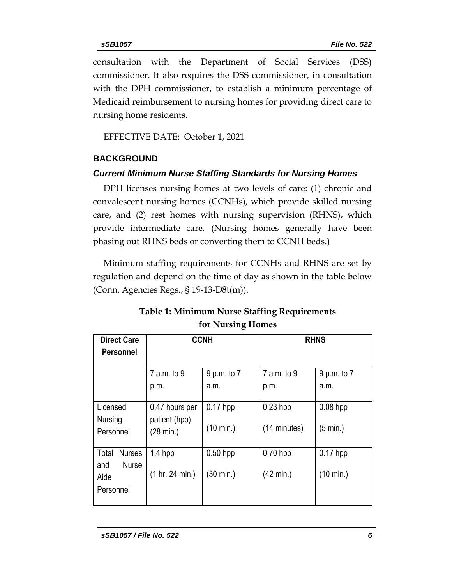consultation with the Department of Social Services (DSS) commissioner. It also requires the DSS commissioner, in consultation with the DPH commissioner, to establish a minimum percentage of Medicaid reimbursement to nursing homes for providing direct care to nursing home residents.

EFFECTIVE DATE: October 1, 2021

# **BACKGROUND**

# *Current Minimum Nurse Staffing Standards for Nursing Homes*

DPH licenses nursing homes at two levels of care: (1) chronic and convalescent nursing homes (CCNHs), which provide skilled nursing care, and (2) rest homes with nursing supervision (RHNS), which provide intermediate care. (Nursing homes generally have been phasing out RHNS beds or converting them to CCNH beds.)

Minimum staffing requirements for CCNHs and RHNS are set by regulation and depend on the time of day as shown in the table below (Conn. Agencies Regs., § 19-13-D8t(m)).

| <b>Direct Care</b><br>Personnel                                    | <b>CCNH</b>                                  |                                   | <b>RHNS</b>                       |                                   |
|--------------------------------------------------------------------|----------------------------------------------|-----------------------------------|-----------------------------------|-----------------------------------|
|                                                                    | 7 a.m. to 9                                  | 9 p.m. to 7                       | 7 a.m. to 9                       | 9 p.m. to 7                       |
|                                                                    | p.m.                                         | a.m.                              | p.m.                              | a.m.                              |
| Licensed<br>Nursing<br>Personnel                                   | 0.47 hours per<br>patient (hpp)<br>(28 min.) | $0.17$ hpp<br>$(10 \text{ min.})$ | $0.23$ hpp<br>(14 minutes)        | $0.08$ hpp<br>$(5 \text{ min.})$  |
| <b>Nurses</b><br>Total<br><b>Nurse</b><br>and<br>Aide<br>Personnel | $1.4$ hpp<br>(1 hr. 24 min.)                 | $0.50$ hpp<br>(30 min.)           | $0.70$ hpp<br>$(42 \text{ min.})$ | $0.17$ hpp<br>$(10 \text{ min.})$ |

# **Table 1: Minimum Nurse Staffing Requirements for Nursing Homes**